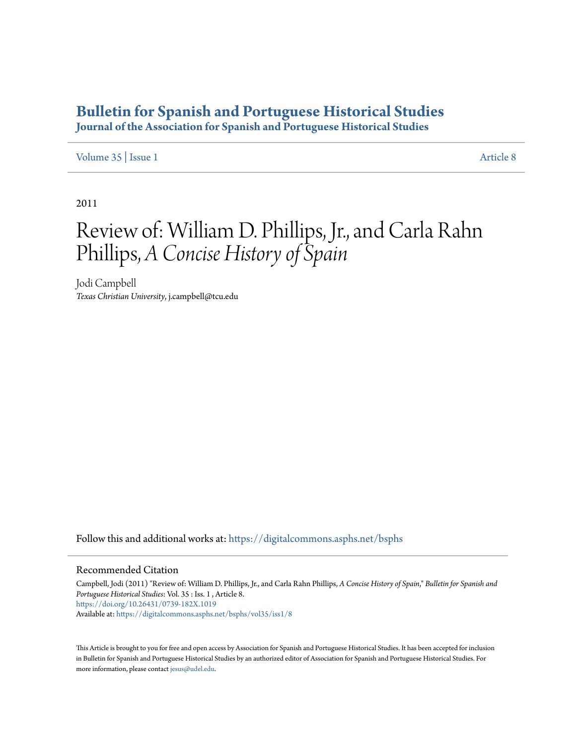## **[Bulletin for Spanish and Portuguese Historical Studies](https://digitalcommons.asphs.net/bsphs?utm_source=digitalcommons.asphs.net%2Fbsphs%2Fvol35%2Fiss1%2F8&utm_medium=PDF&utm_campaign=PDFCoverPages)**

**Journal of the Association for Spanish and Portuguese Historical Studies**

## [Volume 35](https://digitalcommons.asphs.net/bsphs/vol35?utm_source=digitalcommons.asphs.net%2Fbsphs%2Fvol35%2Fiss1%2F8&utm_medium=PDF&utm_campaign=PDFCoverPages) | [Issue 1](https://digitalcommons.asphs.net/bsphs/vol35/iss1?utm_source=digitalcommons.asphs.net%2Fbsphs%2Fvol35%2Fiss1%2F8&utm_medium=PDF&utm_campaign=PDFCoverPages) [Article 8](https://digitalcommons.asphs.net/bsphs/vol35/iss1/8?utm_source=digitalcommons.asphs.net%2Fbsphs%2Fvol35%2Fiss1%2F8&utm_medium=PDF&utm_campaign=PDFCoverPages)

2011

## Review of: William D. Phillips, Jr., and Carla Rahn Phillips, *A Concise History of Spain*

Jodi Campbell *Texas Christian University*, j.campbell@tcu.edu

Follow this and additional works at: [https://digitalcommons.asphs.net/bsphs](https://digitalcommons.asphs.net/bsphs?utm_source=digitalcommons.asphs.net%2Fbsphs%2Fvol35%2Fiss1%2F8&utm_medium=PDF&utm_campaign=PDFCoverPages)

## Recommended Citation

Campbell, Jodi (2011) "Review of: William D. Phillips, Jr., and Carla Rahn Phillips, *A Concise History of Spain*," *Bulletin for Spanish and Portuguese Historical Studies*: Vol. 35 : Iss. 1 , Article 8. <https://doi.org/10.26431/0739-182X.1019> Available at: [https://digitalcommons.asphs.net/bsphs/vol35/iss1/8](https://digitalcommons.asphs.net/bsphs/vol35/iss1/8?utm_source=digitalcommons.asphs.net%2Fbsphs%2Fvol35%2Fiss1%2F8&utm_medium=PDF&utm_campaign=PDFCoverPages)

This Article is brought to you for free and open access by Association for Spanish and Portuguese Historical Studies. It has been accepted for inclusion in Bulletin for Spanish and Portuguese Historical Studies by an authorized editor of Association for Spanish and Portuguese Historical Studies. For more information, please contact [jesus@udel.edu](mailto:jesus@udel.edu).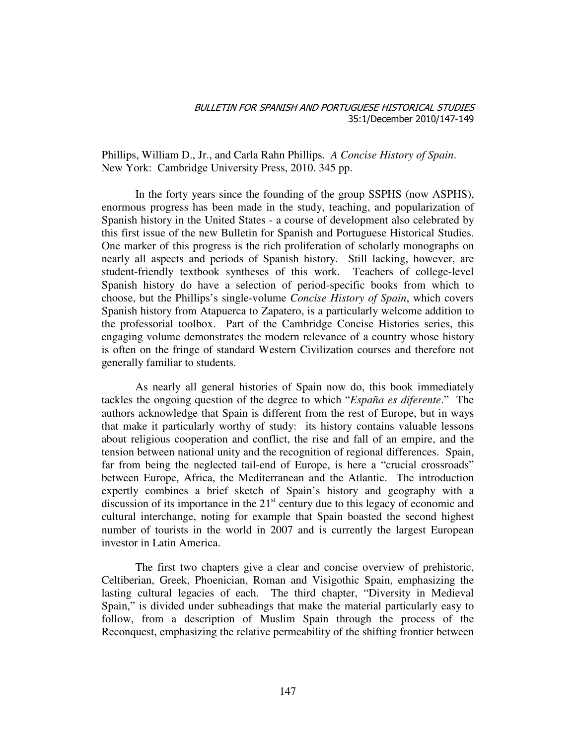Phillips, William D., Jr., and Carla Rahn Phillips. *A Concise History of Spain*. New York: Cambridge University Press, 2010. 345 pp.

In the forty years since the founding of the group SSPHS (now ASPHS), enormous progress has been made in the study, teaching, and popularization of Spanish history in the United States - a course of development also celebrated by this first issue of the new Bulletin for Spanish and Portuguese Historical Studies. One marker of this progress is the rich proliferation of scholarly monographs on nearly all aspects and periods of Spanish history. Still lacking, however, are student-friendly textbook syntheses of this work. Teachers of college-level Spanish history do have a selection of period-specific books from which to choose, but the Phillips's single-volume *Concise History of Spain*, which covers Spanish history from Atapuerca to Zapatero, is a particularly welcome addition to the professorial toolbox. Part of the Cambridge Concise Histories series, this engaging volume demonstrates the modern relevance of a country whose history is often on the fringe of standard Western Civilization courses and therefore not generally familiar to students.

As nearly all general histories of Spain now do, this book immediately tackles the ongoing question of the degree to which "*España es diferente*." The authors acknowledge that Spain is different from the rest of Europe, but in ways that make it particularly worthy of study: its history contains valuable lessons about religious cooperation and conflict, the rise and fall of an empire, and the tension between national unity and the recognition of regional differences. Spain, far from being the neglected tail-end of Europe, is here a "crucial crossroads" between Europe, Africa, the Mediterranean and the Atlantic. The introduction expertly combines a brief sketch of Spain's history and geography with a discussion of its importance in the  $21<sup>st</sup>$  century due to this legacy of economic and cultural interchange, noting for example that Spain boasted the second highest number of tourists in the world in 2007 and is currently the largest European investor in Latin America.

The first two chapters give a clear and concise overview of prehistoric, Celtiberian, Greek, Phoenician, Roman and Visigothic Spain, emphasizing the lasting cultural legacies of each. The third chapter, "Diversity in Medieval Spain," is divided under subheadings that make the material particularly easy to follow, from a description of Muslim Spain through the process of the Reconquest, emphasizing the relative permeability of the shifting frontier between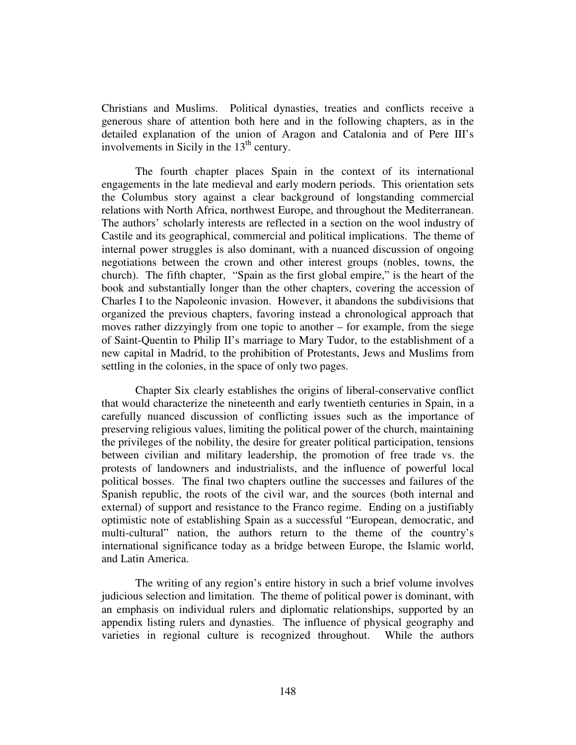Christians and Muslims. Political dynasties, treaties and conflicts receive a generous share of attention both here and in the following chapters, as in the detailed explanation of the union of Aragon and Catalonia and of Pere III's involvements in Sicily in the  $13<sup>th</sup>$  century.

The fourth chapter places Spain in the context of its international engagements in the late medieval and early modern periods. This orientation sets the Columbus story against a clear background of longstanding commercial relations with North Africa, northwest Europe, and throughout the Mediterranean. The authors' scholarly interests are reflected in a section on the wool industry of Castile and its geographical, commercial and political implications. The theme of internal power struggles is also dominant, with a nuanced discussion of ongoing negotiations between the crown and other interest groups (nobles, towns, the church). The fifth chapter, "Spain as the first global empire," is the heart of the book and substantially longer than the other chapters, covering the accession of Charles I to the Napoleonic invasion. However, it abandons the subdivisions that organized the previous chapters, favoring instead a chronological approach that moves rather dizzyingly from one topic to another – for example, from the siege of Saint-Quentin to Philip II's marriage to Mary Tudor, to the establishment of a new capital in Madrid, to the prohibition of Protestants, Jews and Muslims from settling in the colonies, in the space of only two pages.

Chapter Six clearly establishes the origins of liberal-conservative conflict that would characterize the nineteenth and early twentieth centuries in Spain, in a carefully nuanced discussion of conflicting issues such as the importance of preserving religious values, limiting the political power of the church, maintaining the privileges of the nobility, the desire for greater political participation, tensions between civilian and military leadership, the promotion of free trade vs. the protests of landowners and industrialists, and the influence of powerful local political bosses. The final two chapters outline the successes and failures of the Spanish republic, the roots of the civil war, and the sources (both internal and external) of support and resistance to the Franco regime. Ending on a justifiably optimistic note of establishing Spain as a successful "European, democratic, and multi-cultural" nation, the authors return to the theme of the country's international significance today as a bridge between Europe, the Islamic world, and Latin America.

The writing of any region's entire history in such a brief volume involves judicious selection and limitation. The theme of political power is dominant, with an emphasis on individual rulers and diplomatic relationships, supported by an appendix listing rulers and dynasties. The influence of physical geography and varieties in regional culture is recognized throughout. While the authors